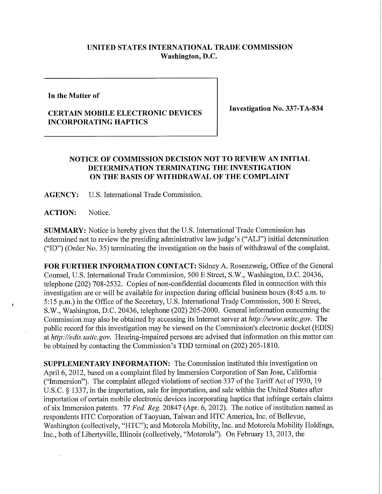## UNITED STATES INTERNATIONAL TRADE COMMISSION **Washington,** D.C.

In the Matter of

## CERTAIN MOBILE ELECTRONIC DEVICES INCORPORATING HAPTICS

**Investigation No.** 337-TA-834

## NOTICE OF COMMISSION DECISION NOT TO REVIEW AN INITIAL DETERMINATION TERMINATING THE INVESTIGATION ON THE BASIS OF WITHDRAWAL OF THE COMPLAINT

AGENCY: U.S. International Trade Commission.

ACTION: Notice.

SUMMARY: Notice is hereby given that the U.S. International Trade Commission has determined not to review the presiding administrative law judge's ("ALJ") initial determination ("ID") (Order No. 35) terminating the investigation on the basis of withdrawal ofthe complaint.

FOR FURTHER INFORMATION CONTACT: Sidney A. Rosenzweig, Office of the General Counsel, U.S. International Trade Commission, 500 E Street, S.W., Washington, D.C. 20436, telephone (202) 708-2532. Copies of non-confidential documents filed in connection with this investigation are or will be available for inspection during official business hours (8:45 a.m. to 5:15 p.m.) in the Office of the Secretary, U.S. International Trade Commission, 500 E Street, S.W., Washington, D.C. 20436, telephone (202) 205-2000. General information concerning the Commission may also be obtained by accessing its Internet server at *http://www.usitc.gov.* The public record for this investigation may be viewed on the Commission's electronic docket (EDIS) at *http://edis. usitc.gov.* Hearing-impaired persons are advised that information on this matter can be obtained by contacting the Commission's TDD terminal on (202) 205-1810.

SUPPLEMENTARY INFORMATION: The Commission instituted this investigation on April 6, 2012, based on a complaint filed by Immersion Corporation of San Jose, California ("Immersion"). The complaint alleged violations of section 337 of the Tariff Act of 1930,19 U.S.C. § 1337, in the importation, sale for importation, and sale within the United States after importation of certain mobile electronic devices incorporating haptics that infringe certain claims of six Immersion patents. 77 *Fed. Reg.* 20847 (Apr. 6, 2012). The notice of institution named as respondents HTC Corporation of Taoyuan, Taiwan and HTC America, Inc. of Bellevue, Washington (collectively, "HTC"); and Motorola Mobility, Inc. and Motorola Mobility Holdings, Inc., both of Libertyville, Illinois (collectively, "Motorola"). On February 13,2013, the